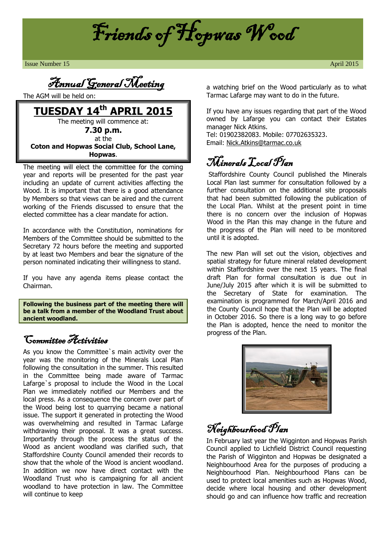

**Issue Number 15** April 2015

Annual General Meeting

The AGM will be held on:

**TUESDAY 14th APRIL 2015** The meeting will commence at: **7.30 p.m.**

at the **Coton and Hopwas Social Club, School Lane, Hopwas**.

The meeting will elect the committee for the coming year and reports will be presented for the past year including an update of current activities affecting the Wood. It is important that there is a good attendance by Members so that views can be aired and the current working of the Friends discussed to ensure that the elected committee has a clear mandate for action.

In accordance with the Constitution, nominations for Members of the Committee should be submitted to the Secretary 72 hours before the meeting and supported by at least two Members and bear the signature of the person nominated indicating their willingness to stand.

If you have any agenda items please contact the Chairman.

**Following the business part of the meeting there will be a talk from a member of the Woodland Trust about ancient woodland.**

#### Committee Activities

As you know the Committee`s main activity over the year was the monitoring of the Minerals Local Plan following the consultation in the summer. This resulted in the Committee being made aware of Tarmac Lafarge`s proposal to include the Wood in the Local Plan we immediately notified our Members and the local press. As a consequence the concern over part of the Wood being lost to quarrying became a national issue. The support it generated in protecting the Wood was overwhelming and resulted in Tarmac Lafarge withdrawing their proposal. It was a great success. Importantly through the process the status of the Wood as ancient woodland was clarified such, that Staffordshire County Council amended their records to show that the whole of the Wood is ancient woodland. In addition we now have direct contact with the Woodland Trust who is campaigning for all ancient woodland to have protection in law. The Committee will continue to keep

a watching brief on the Wood particularly as to what Tarmac Lafarge may want to do in the future.

If you have any issues regarding that part of the Wood owned by Lafarge you can contact their Estates manager Nick Atkins.

Tel: 01902382083. Mobile: 07702635323. Email: [Nick.Atkins@tarmac.co.uk](mailto:Nick.Atkins@tarmac.co.uk)

# Minerals Local Plan

Staffordshire County Council published the Minerals Local Plan last summer for consultation followed by a further consultation on the additional site proposals that had been submitted following the publication of the Local Plan. Whilst at the present point in time there is no concern over the inclusion of Hopwas Wood in the Plan this may change in the future and the progress of the Plan will need to be monitored until it is adopted.

The new Plan will set out the vision, objectives and spatial strategy for future mineral related development within Staffordshire over the next 15 years. The final draft Plan for formal consultation is due out in June/July 2015 after which it is will be submitted to the Secretary of State for examination. The examination is programmed for March/April 2016 and the County Council hope that the Plan will be adopted in October 2016. So there is a long way to go before the Plan is adopted, hence the need to monitor the progress of the Plan.



## Neighbourhood Plan

In February last year the Wigginton and Hopwas Parish Council applied to Lichfield District Council requesting the Parish of Wigginton and Hopwas be designated a Neighbourhood Area for the purposes of producing a Neighbourhood Plan. Neighbourhood Plans can be used to protect local amenities such as Hopwas Wood, decide where local housing and other development should go and can influence how traffic and recreation